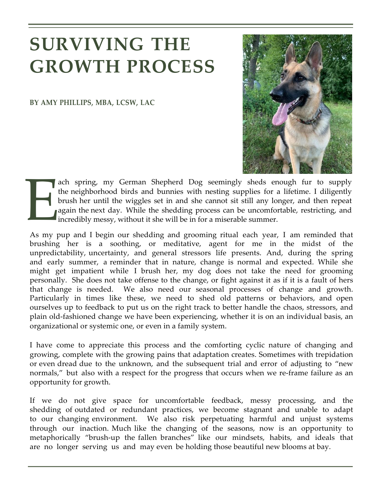## **SURVIVING THE GROWTH PROCESS**

**BY AMY PHILLIPS, MBA, LCSW, LAC**



 $\prod_{i}$ ach spring, my German Shepherd Dog seemingly sheds enough fur to supply the neighborhood birds and bunnies with nesting supplies for a lifetime. I diligently brush her until the wiggles set in and she cannot sit still any longer, and then repeat again the next day. While the shedding process can be uncomfortable, restricting, and incredibly messy, without it she will be in for a miserable summer.

As my pup and I begin our shedding and grooming ritual each year, I am reminded that brushing her is a soothing, or meditative, agent for me in the midst of the unpredictability, uncertainty, and general stressors life presents. And, during the spring and early summer, a reminder that in nature, change is normal and expected. While she might get impatient while I brush her, my dog does not take the need for grooming personally. She does not take offense to the change, or fight against it as if it is a fault of hers that change is needed. We also need our seasonal processes of change and growth. Particularly in times like these, we need to shed old patterns or behaviors, and open ourselves up to feedback to put us on the right track to better handle the chaos, stressors, and plain old-fashioned change we have been experiencing, whether it is on an individual basis, an organizational or systemic one, or even in a family system.

I have come to appreciate this process and the comforting cyclic nature of changing and growing, complete with the growing pains that adaptation creates. Sometimes with trepidation or even dread due to the unknown, and the subsequent trial and error of adjusting to "new normals," but also with a respect for the progress that occurs when we re-frame failure as an opportunity for growth.

If we do not give space for uncomfortable feedback, messy processing, and the shedding of outdated or redundant practices, we become stagnant and unable to adapt to our changing environment. We also risk perpetuating harmful and unjust systems through our inaction. Much like the changing of the seasons, now is an opportunity to metaphorically "brush-up the fallen branches" like our mindsets, habits, and ideals that are no longer serving us and may even be holding those beautiful new blooms at bay.